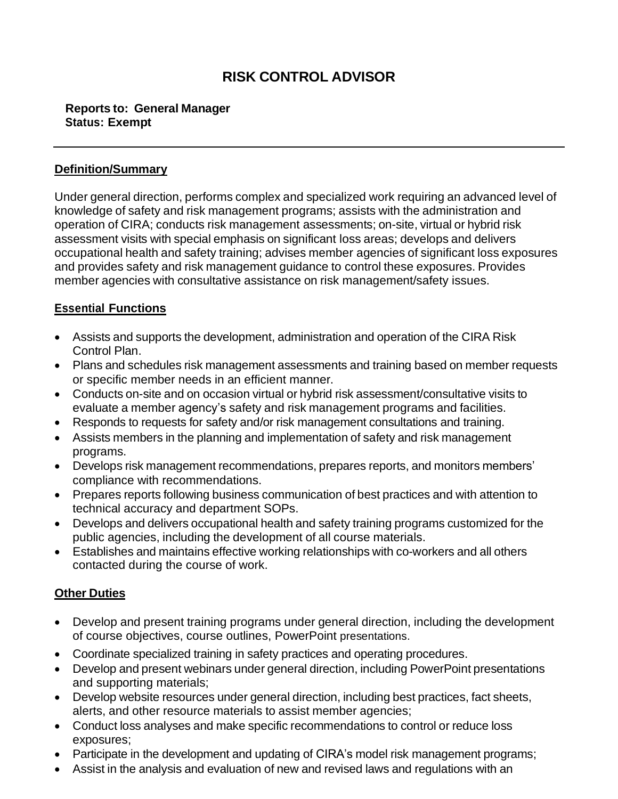# **RISK CONTROL ADVISOR**

#### **Reports to: General Manager Status: Exempt**

#### **Definition/Summary**

Under general direction, performs complex and specialized work requiring an advanced level of knowledge of safety and risk management programs; assists with the administration and operation of CIRA; conducts risk management assessments; on-site, virtual or hybrid risk assessment visits with special emphasis on significant loss areas; develops and delivers occupational health and safety training; advises member agencies of significant loss exposures and provides safety and risk management guidance to control these exposures. Provides member agencies with consultative assistance on risk management/safety issues.

## **Essential Functions**

- Assists and supports the development, administration and operation of the CIRA Risk Control Plan.
- Plans and schedules risk management assessments and training based on member requests or specific member needs in an efficient manner.
- Conducts on-site and on occasion virtual or hybrid risk assessment/consultative visits to evaluate a member agency's safety and risk management programs and facilities.
- Responds to requests for safety and/or risk management consultations and training.
- Assists members in the planning and implementation of safety and risk management programs.
- Develops risk management recommendations, prepares reports, and monitors members' compliance with recommendations.
- Prepares reports following business communication of best practices and with attention to technical accuracy and department SOPs.
- Develops and delivers occupational health and safety training programs customized for the public agencies, including the development of all course materials.
- Establishes and maintains effective working relationships with co-workers and all others contacted during the course of work.

## **Other Duties**

- Develop and present training programs under general direction, including the development of course objectives, course outlines, PowerPoint presentations.
- Coordinate specialized training in safety practices and operating procedures.
- Develop and present webinars under general direction, including PowerPoint presentations and supporting materials;
- Develop website resources under general direction, including best practices, fact sheets, alerts, and other resource materials to assist member agencies;
- Conduct loss analyses and make specific recommendations to control or reduce loss exposures;
- Participate in the development and updating of CIRA's model risk management programs;
- Assist in the analysis and evaluation of new and revised laws and regulations with an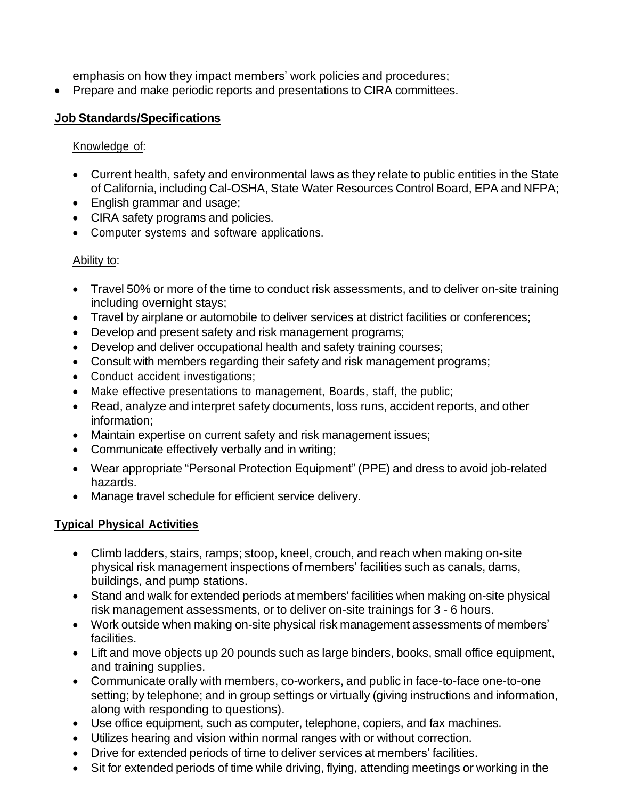emphasis on how they impact members' work policies and procedures;

• Prepare and make periodic reports and presentations to CIRA committees.

## **Job Standards/Specifications**

## Knowledge of:

- Current health, safety and environmental laws as they relate to public entities in the State of California, including Cal-OSHA, State Water Resources Control Board, EPA and NFPA;
- English grammar and usage;
- CIRA safety programs and policies.
- Computer systems and software applications.

## Ability to:

- Travel 50% or more of the time to conduct risk assessments, and to deliver on-site training including overnight stays;
- Travel by airplane or automobile to deliver services at district facilities or conferences;
- Develop and present safety and risk management programs;
- Develop and deliver occupational health and safety training courses;
- Consult with members regarding their safety and risk management programs;
- Conduct accident investigations;
- Make effective presentations to management, Boards, staff, the public;
- Read, analyze and interpret safety documents, loss runs, accident reports, and other information;
- Maintain expertise on current safety and risk management issues;
- Communicate effectively verbally and in writing;
- Wear appropriate "Personal Protection Equipment" (PPE) and dress to avoid job-related hazards.
- Manage travel schedule for efficient service delivery.

## **Typical Physical Activities**

- Climb ladders, stairs, ramps; stoop, kneel, crouch, and reach when making on-site physical risk management inspections of members' facilities such as canals, dams, buildings, and pump stations.
- Stand and walk for extended periods at members' facilities when making on-site physical risk management assessments, or to deliver on-site trainings for 3 - 6 hours.
- Work outside when making on-site physical risk management assessments of members' facilities.
- Lift and move objects up 20 pounds such as large binders, books, small office equipment, and training supplies.
- Communicate orally with members, co-workers, and public in face-to-face one-to-one setting; by telephone; and in group settings or virtually (giving instructions and information, along with responding to questions).
- Use office equipment, such as computer, telephone, copiers, and fax machines.
- Utilizes hearing and vision within normal ranges with or without correction.
- Drive for extended periods of time to deliver services at members' facilities.
- Sit for extended periods of time while driving, flying, attending meetings or working in the